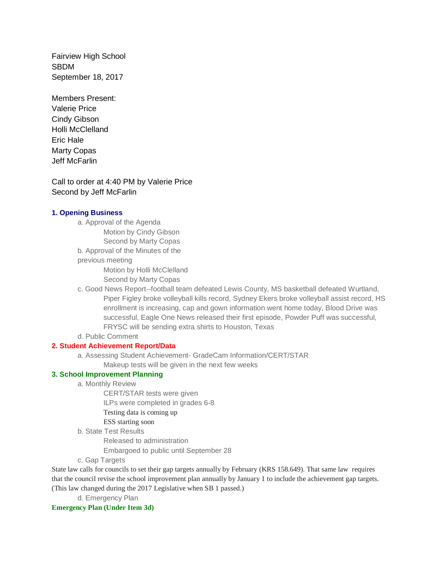Fairview High School SBDM September 18, 2017

Members Present: Valerie Price Cindy Gibson Holli McClelland Eric Hale Marty Copas Jeff McFarlin

Call to order at 4:40 PM by Valerie Price Second by Jeff McFarlin

# **1. Opening Business**

a. Approval of the Agenda

Motion by Cindy Gibson

Second by Marty Copas

b. Approval of the Minutes of the

previous meeting

Motion by Holli McClelland

Second by Marty Copas

- c. Good News Report--football team defeated Lewis County, MS basketball defeated Wurtland, Piper Figley broke volleyball kills record, Sydney Ekers broke volleyball assist record, HS enrollment is increasing, cap and gown information went home today, Blood Drive was successful, Eagle One News released their first episode, Powder Puff was successful, FRYSC will be sending extra shirts to Houston, Texas
- d. Public Comment

## **2. Student Achievement Report/Data**

a. Assessing Student Achievement- GradeCam Information/CERT/STAR

Makeup tests will be given in the next few weeks

## **3. School Improvement Planning**

a. Monthly Review

CERT/STAR tests were given

ILPs were completed in grades 6-8

Testing data is coming up

# ESS starting soon

b. State Test Results

Released to administration

Embargoed to public until September 28

c. Gap Targets

State law calls for councils to set their gap targets annually by February (KRS 158.649). That same law requires that the council revise the school improvement plan annually by January 1 to include the achievement gap targets. (This law changed during the 2017 Legislative when SB 1 passed.)

d. Emergency Plan

### **Emergency Plan (Under Item 3d)**